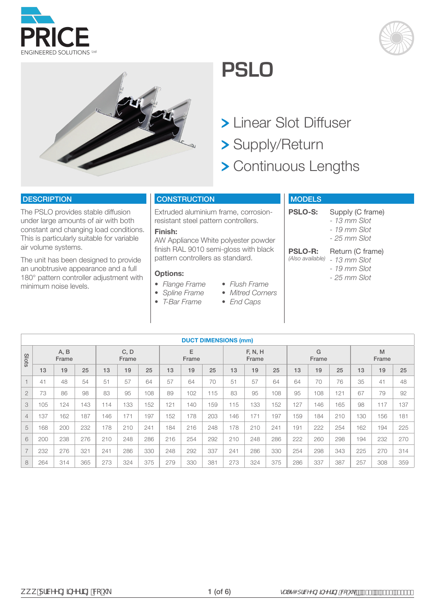

# **PSLO**

- Linear Slot Diffuser
- Supply/Return
- > Continuous Lengths

#### **DESCRIPTION**

The PSLO provides stable diffusion under large amounts of air with both constant and changing load conditions. This is particularly suitable for variable air volume systems.

The unit has been designed to provide an unobtrusive appearance and a full 180° pattern controller adjustment with minimum noise levels.

### **CONSTRUCTION**

Extruded aluminium frame, corrosionresistant steel pattern controllers.

#### **Finish:**

AW Appliance White polyester powder finish RAL 9010 semi-gloss with black pattern controllers as standard.

> *• Flush Frame • Mitred Corners • End Caps*

#### **Options:**

- *• Flange Frame*
- *• Spline Frame*
- *• T-Bar Frame*

# **MODELS**

**PSLO-S:** Supply (C frame)

- *13 mm Slot*
- *19 mm Slot*
- *25 mm Slot*

#### **PSLO-R:** Return (C frame)

- *(Also available) 13 mm Slot*
	- *19 mm Slot*
	- *25 mm Slot*

|                |     |               |     |     |               |     |     |            |     | <b>DUCT DIMENSIONS (mm)</b> |                  |     |     |            |     |     |            |     |
|----------------|-----|---------------|-----|-----|---------------|-----|-----|------------|-----|-----------------------------|------------------|-----|-----|------------|-----|-----|------------|-----|
| Slots          |     | A, B<br>Frame |     |     | C, D<br>Frame |     |     | E<br>Frame |     |                             | F, N, H<br>Frame |     |     | G<br>Frame |     |     | M<br>Frame |     |
|                | 13  | 19            | 25  | 13  | 19            | 25  | 13  | 19         | 25  | 13                          | 19               | 25  | 13  | 19         | 25  | 13  | 19         | 25  |
|                | 41  | 48            | 54  | 51  | 57            | 64  | 57  | 64         | 70  | 51                          | 57               | 64  | 64  | 70         | 76  | 35  | 41         | 48  |
| $\overline{2}$ | 73  | 86            | 98  | 83  | 95            | 108 | 89  | 102        | 115 | 83                          | 95               | 108 | 95  | 108        | 121 | 67  | 79         | 92  |
| 3              | 105 | 124           | 143 | 114 | 133           | 152 | 121 | 140        | 159 | 115                         | 133              | 152 | 127 | 146        | 165 | 98  | 117        | 137 |
| $\overline{4}$ | 137 | 162           | 187 | 146 | 171           | 197 | 152 | 178        | 203 | 146                         | 171              | 197 | 159 | 184        | 210 | 130 | 156        | 181 |
| 5              | 168 | 200           | 232 | 178 | 210           | 241 | 184 | 216        | 248 | 178                         | 210              | 241 | 191 | 222        | 254 | 162 | 194        | 225 |
| 6              | 200 | 238           | 276 | 210 | 248           | 286 | 216 | 254        | 292 | 210                         | 248              | 286 | 222 | 260        | 298 | 194 | 232        | 270 |
| $\overline{7}$ | 232 | 276           | 321 | 241 | 286           | 330 | 248 | 292        | 337 | 241                         | 286              | 330 | 254 | 298        | 343 | 225 | 270        | 314 |
| 8              | 264 | 314           | 365 | 273 | 324           | 375 | 279 | 330        | 381 | 273                         | 324              | 375 | 286 | 337        | 387 | 257 | 308        | 359 |



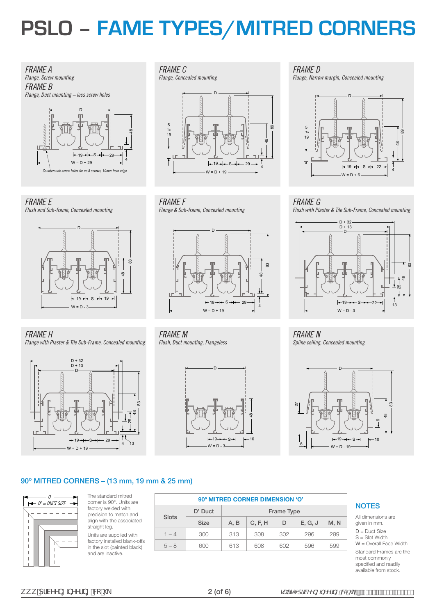# **PSLO – FAME TYPES/MITRED CORNERS**





*FRAME E Flush and Sub-frame, Concealed mounting*



*FRAME C* 

*Flange, Concealed mounting*



*FRAME F Flange & Sub-frame, Concealed mounting*



*FRAME H* 

*Flange with Plaster & Tile Sub-Frame, Concealed mounting*



*FRAME M Flush, Duct mounting, Flangeless*



*FRAME D* 

*Flange, Narrow margin, Concealed mounting*



# *FRAME G*

*Flush with Plaster & Tile Sub-Frame, Concealed mounting*



*FRAME N Spline ceiling, Concealed mounting*



#### 90º MITRED CORNERS – (13 mm, 19 mm & 25 mm)



The standard mitred corner is 90°. Units are factory welded with precision to match and align with the associated straight leg. Units are supplied with

factory installed blank-offs in the slot (painted black) and are inactive.

|         |             |      | 90° MITRED CORNER DIMENSION 'O' |            |         |      |
|---------|-------------|------|---------------------------------|------------|---------|------|
|         | D' Duct     |      |                                 | Frame Type |         |      |
| Slots   | <b>Size</b> | A. B | C, F, H                         | D          | E, G, J | M, N |
| $1 - 4$ | 300         | 313  | 308                             | 302        | 296     | 299  |
| $5 - 8$ | 600         | 613  | 608                             | 602        | 596     | 599  |

#### **NOTES**

All dimensions are given in mm.

D = Duct Size S = Slot Width

W = Overall Face Width Standard Frames are the

most commonly specified and readily available from stock.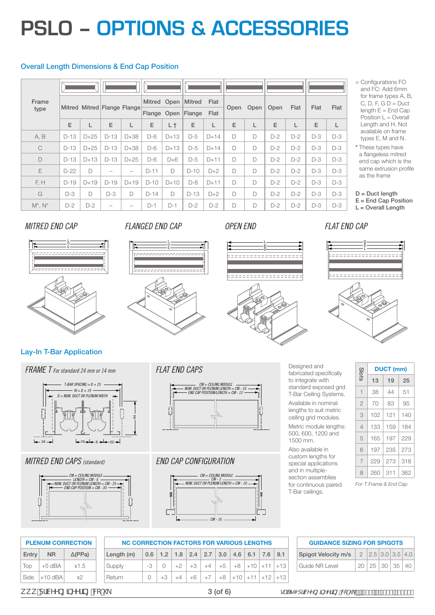# **PSLO – OPTIONS & ACCESSORIES**

#### Overall Length Dimensions & End Cap Position

| Frame<br>type |        | Mitred Mitred Flange Flange |                          |                          |        |        | Mitred Open   Mitred<br>Flange Open Flange | Flat<br>Flat | Open | Open   | Open  | Flat  | Flat  | Flat  |
|---------------|--------|-----------------------------|--------------------------|--------------------------|--------|--------|--------------------------------------------|--------------|------|--------|-------|-------|-------|-------|
|               | E      | L                           | E                        | L                        | E      | L t    | E                                          | L            | E    |        | E     |       | E     | L     |
| A, B          | $D-13$ | $D+25$                      | $D-13$                   | $D+38$                   | $D-6$  | $D+13$ | $D-5$                                      | $D+14$       | D    | $\Box$ | $D-2$ | $D-2$ | $D-3$ | $D-3$ |
| $\mathcal{C}$ | $D-13$ | $D+25$                      | $D-13$                   | $D+38$                   | $D-6$  | $D+13$ | $D-5$                                      | $D+14$       | D    | D      | $D-2$ | $D-2$ | $D-3$ | $D-3$ |
| D             | $D-13$ | $D+13$                      | $D-13$                   | $D+25$                   | $D-6$  | $D+6$  | $D-5$                                      | $D+11$       | D    | $\Box$ | $D-2$ | $D-2$ | $D-3$ | $D-3$ |
| E             | $D-22$ | D                           | $\overline{\phantom{a}}$ | $\overline{\phantom{a}}$ | $D-11$ | D      | $D-10$                                     | $D+2$        | D    | $\Box$ | $D-2$ | $D-2$ | $D-3$ | $D-3$ |
| F, H          | $D-19$ | $D+19$                      | $D-19$                   | $D+19$                   | $D-10$ | $D+10$ | $D-8$                                      | $D+11$       | D    | $\Box$ | $D-2$ | $D-2$ | $D-3$ | $D-3$ |
| G             | $D-3$  | D                           | $D-3$                    | $\Box$                   | $D-14$ | D      | $D-13$                                     | $D+2$        | D    | D      | $D-2$ | $D-2$ | $D-3$ | $D-3$ |
| $M^*$ . $N^*$ | $D-2$  | $D-2$                       |                          |                          | $D-1$  | $D-1$  | $D-2$                                      | $D-2$        | D    | D      | $D-2$ | $D-2$ | $D-3$ | $D-3$ |

<sup>=</sup> Configurations FO and FC: Add 6mm for frame types A, B, C, D, F, G  $D = Duct$ length  $E =$  End Cap Position  $L =$  Overall Length and H. Not available on frame types E, M and N.

# *MITRED END CAP FLANGED END CAP OPEN END FLAT END CAP*













### Lay-In T-Bar Application



### *MITRED END CAPS (standard)*



### *FLAT END CAPS*



# *END CAP CONFIGURATION*



Designed and fabricated specifically to integrate with standard exposed grid T-Bar Ceiling Systems. Available in nominal lengths to suit metric ceiling grid modules. Metric module lengths: 500, 600, 1200 and 1500 mm.

Also available in custom lengths for special applications and in multiplesection assemblies for continuous paired T-Bar ceilings.

| <b>GUIDANCE SIZING FOR SPIGOTS</b>                        |  |                                   |  |
|-----------------------------------------------------------|--|-----------------------------------|--|
| Spigot Velocity m/s   $2$   $2.5$   $3.0$   $3.5$   $4.0$ |  |                                   |  |
| Guide NR Level                                            |  | $20 \mid 25 \mid 30 \mid 35 \mid$ |  |

Side  $|+10$  dBA  $x2$ 

**NC CORRECTION FACTORS FOR VARIOUS LENGTHS** Length (m) 0.6 1.2 1.8 2.4 2.7 3.0 4.6 6.1 7.6 9.1 Supply -3 0 +2 +3 +4 +5 +8 +10 +11 +13 Return 0 +3 +4 +6 +7 +8 +10 +11 +12 +13 **PLENUM CORRECTION**  Entry NR ∆(PPa) Top  $+5$  dBA  $\times$ 1.5

ZZZSULFHHQJLQHHULQJFRXN 3 (of 6) VDOHV#SULFHHQJLQHHULQJFRXN\_

<sup>\*</sup> These types have a flangeless mitred end cap which is the same extrusion profile as the frame

 $D =$  Duct length E = End Cap Position L = Overall Length

*For T Frame & End Cap*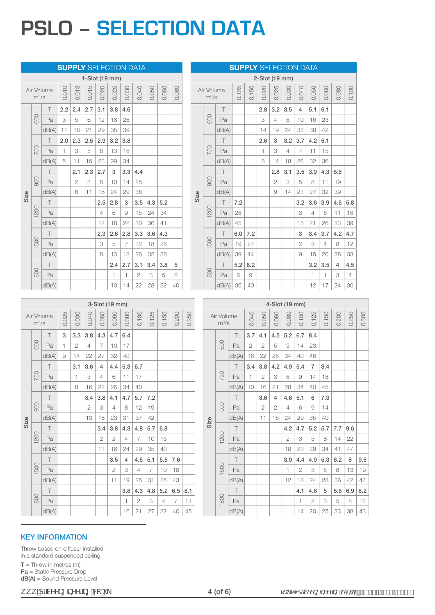# **PSLO – SELECTION DATA**

|      |         |            |       |                |                |       |       | <b>SUPPLY SELECTION DATA</b> |                |       |       |       |      |                       |       | <b>SUPPLY SELECTION DATA</b> |       |                |       |       |                |       |       |       |                |
|------|---------|------------|-------|----------------|----------------|-------|-------|------------------------------|----------------|-------|-------|-------|------|-----------------------|-------|------------------------------|-------|----------------|-------|-------|----------------|-------|-------|-------|----------------|
|      |         |            |       |                | 1-Slot (19 mm) |       |       |                              |                |       |       |       |      |                       |       |                              |       | 2-Slot (19 mm) |       |       |                |       |       |       |                |
|      | $m^3/s$ | Air Volume | 0.010 | 0.013          | 0.015          | 0.020 | 0.025 | 0.030                        | 0.040          | 0.050 | 0.060 | 0.080 |      | Air Volume<br>$m^3/s$ |       | 0.125                        | 0.150 | 0.020          | 0.025 | 0.030 | 0.040          | 0.050 | 0.060 | 0.080 | 0.100          |
|      |         | Τ          | 2.2   | 2.4            | 2.7            | 3.1   | 3.8   | 4.6                          |                |       |       |       |      |                       | T     |                              |       | 2.8            | 3.2   | 3.5   | $\overline{4}$ | 5.1   | 6.1   |       |                |
|      | 600     | Pa         | 3     | 5              | 6              | 12    | 18    | 26                           |                |       |       |       |      | 500                   | Pa    |                              |       | 3              | 4     | 6     | 10             | 16    | 23    |       |                |
|      |         | dB(A)      | 11    | 16             | 21             | 29    | 35    | 39                           |                |       |       |       |      |                       | dB(A) |                              |       | 14             | 19    | 24    | 32             | 38    | 42    |       |                |
|      |         | т          | 2.0   | 2.3            | 2.5            | 2.9   | 3.2   | 3.8                          |                |       |       |       |      |                       | T     |                              |       | 2.6            | 3     | 3.2   | 3.7            | 4.2   | 5.1   |       |                |
|      | 750     | Pa         |       | 3              | 5              | 8     | 13    | 18                           |                |       |       |       |      | 750                   | Pa    |                              |       | $\overline{1}$ | 3     | 4     | 7              | 11    | 15    |       |                |
|      |         | dB(A)      | 5     | 11             | 15             | 23    | 29    | 34                           |                |       |       |       |      |                       | dB(A) |                              |       | 8              | 14    | 18    | 26             | 32    | 36    |       |                |
|      |         | Τ          |       | 2.1            | 2.3            | 2.7   | 3     | 3.3                          | 4.4            |       |       |       |      |                       | T     |                              |       |                | 2.8   | 3.1   | 3.5            | 3.9   | 4.3   | 5.8   |                |
|      | 900     | Pa         |       | $\overline{2}$ | 3              | 6     | 10    | 14                           | 25             |       |       |       |      | 900                   | Pa    |                              |       |                | 2     | 3     | 5              | 8     | 11    | 19    |                |
| Size |         | dB(A)      |       | 6              | 11             | 18    | 24    | 29                           | 36             |       |       |       | Size |                       | dB(A) |                              |       |                | 9     | 14    | 21             | 27    | 32    | 39    |                |
|      |         | T          |       |                |                | 2.5   | 2.8   | 3                            | 3.5            | 4.3   | 5.2   |       |      |                       | T     | 7.2                          |       |                |       |       | 3.2            | 3.6   | 3.9   | 4.6   | 5.8            |
|      | 200     | Pa         |       |                |                | 4     | 6     | 9                            | 15             | 24    | 34    |       |      | 200                   | Pa    | 28                           |       |                |       |       | 3              | 4     | 6     | 11    | 18             |
|      |         | dB(A)      |       |                |                | 12    | 18    | 22                           | 30             | 36    | 41    |       |      |                       | dB(A) | 45                           |       |                |       |       | 15             | 21    | 26    | 33    | 39             |
|      |         | Τ          |       |                |                | 2.3   | 2.6   | 2.8                          | 3.3            | 3.6   | 4.3   |       |      |                       | T     | 6.0                          | 7.2   |                |       |       | 3              | 3.4   | 3.7   | 4.2   | 4.7            |
|      | 500     | Pa         |       |                |                | 3     | 5     | 7                            | 12             | 18    | 26    |       |      | 500                   | Pa    | 19                           | 27    |                |       |       | $\overline{2}$ | 3     | 4     | 8     | 12             |
|      |         | dB(A)      |       |                |                | 8     | 13    | 18                           | 26             | 32    | 36    |       |      |                       | dB(A) | 39                           | 44    |                |       |       | 9              | 15    | 20    | 28    | 33             |
|      |         | Τ          |       |                |                |       | 2.4   | 2.7                          | 3.1            | 3.4   | 3.8   | 5     |      |                       | T     | 5.2                          | 6.2   |                |       |       |                | 3.2   | 3.5   | 4     | 4.5            |
|      | 800     | Pa         |       |                |                |       | 1     | -1                           | $\overline{2}$ | 3     | 5     | 8     |      | 800                   | Pa    | 6                            | 9     |                |       |       |                | H     | 1     | 3     | $\overline{4}$ |
|      |         | dB(A)      |       |                |                |       | 10    | 14                           | 22             | 28    | 32    | 40    |      |                       | dB(A) | 36                           | 40    |                |       |       |                | 12    | 17    | 24    | 30             |

|      |                                 |            |       |                |                | 3-Slot (19 mm) |                |                |                |                |                |                |       |      |                       |        |
|------|---------------------------------|------------|-------|----------------|----------------|----------------|----------------|----------------|----------------|----------------|----------------|----------------|-------|------|-----------------------|--------|
|      | $m^3/s$                         | Air Volume | 0.025 | 0.030          | 0.040          | 0.050          | 0.060          | 0.080          | 0.100          | 0.125          | 0.150          | 0.200          | 0.250 |      | Air Volume<br>$m^3/s$ |        |
|      |                                 | $\top$     | 3     | 3.3            | 3.8            | 4.3            | 4.7            | 6.4            |                |                |                |                |       |      |                       | $\top$ |
|      | 600                             | Pa         | 1     | $\overline{2}$ | $\overline{4}$ | $\overline{7}$ | 10             | 17             |                |                |                |                |       |      | 600                   | Pa     |
|      |                                 | dB(A)      | 9     | 14             | 22             | 27             | 32             | 40             |                |                |                |                |       |      |                       | dB(A)  |
|      |                                 | $\top$     |       | 3.1            | 3.6            | $\overline{4}$ | 4.4            | 5.3            | 6.7            |                |                |                |       |      |                       | T      |
|      | 750                             | Pa         |       | 1              | 3              | $\overline{4}$ | 6              | 11             | 17             |                |                |                |       |      | 750                   | Pa     |
|      |                                 | dB(A)      |       | 8              | 16             | 22             | 26             | 34             | 40             |                |                |                |       |      |                       | dB(A)  |
|      |                                 | T          |       |                | 3.4            | 3.8            | 4.1            | 4.7            | 5.7            | 7.2            |                |                |       |      |                       | T      |
|      | 900                             | Pa         |       |                | $\overline{2}$ | 3              | $\overline{4}$ | 8              | 12             | 19             |                |                |       |      | 900                   | Pa     |
| Size |                                 | dB(A)      |       |                | 13             | 18             | 23             | 31             | 37             | 42             |                |                |       | Size |                       | dB(A)  |
|      |                                 | T          |       |                |                | 3.4            | 3.8            | 4.3            | 4.8            | 5.7            | 6.8            |                |       |      |                       | T      |
|      | 1200                            | Pa         |       |                |                | $\overline{2}$ | $\overline{c}$ | 4              | $\overline{7}$ | 10             | 15             |                |       |      | 1200                  | Pa     |
|      |                                 | dB(A)      |       |                |                | 11             | 16             | 24             | 29             | 35             | 40             |                |       |      |                       | dB(A)  |
|      |                                 | $\top$     |       |                |                |                | 3.5            | $\overline{4}$ | 4.5            | 5.1            | 5.5            | 7.6            |       |      |                       | $\top$ |
|      | 500<br>$\overline{\phantom{0}}$ | Pa         |       |                |                |                | $\overline{2}$ | 3              | $\overline{4}$ | $\overline{7}$ | 10             | 18             |       |      | 1500                  | Pa     |
|      |                                 | dB(A)      |       |                |                |                | 11             | 19             | 25             | 31             | 35             | 43             |       |      |                       | dB(A)  |
|      |                                 | T          |       |                |                |                |                | 3.8            | 4.3            | 4.8            | 5.2            | 6.5            | 8.1   |      |                       | $\top$ |
|      | 1800                            | Pa         |       |                |                |                |                | 1              | $\overline{2}$ | 3              | $\overline{4}$ | $\overline{7}$ | 11    |      | 1800                  | Pa     |
|      |                                 | dB(A)      |       |                |                |                |                | 16             | 21             | 27             | 32             | 40             | 45    |      |                       | dB(A)  |

|             |                       |        |              |                | 4-Slot (19 mm) |                          |                |              |       |       |       |       |
|-------------|-----------------------|--------|--------------|----------------|----------------|--------------------------|----------------|--------------|-------|-------|-------|-------|
|             | Air Volume<br>$m^3/s$ |        | 0.040        | 0.050          | 0.060          | 0.080                    | 0.100          | 0.125        | 0.150 | 0.200 | 0.250 | 0.300 |
|             |                       | T      | 3.7          | 4.1            | 4.5            | 5.2                      | 6.7            | 8.4          |       |       |       |       |
|             | 600                   | Pa     | $\mathbf{2}$ | $\mathbf{2}$   | 5              | 9                        | 14             | 23           |       |       |       |       |
|             |                       | dB(A)  | 16           | 22             | 26             | 34                       | 40             | 46           |       |       |       |       |
|             |                       | $\top$ | 3.4          | 3.8            | 4.2            | 4.9                      | 5.4            | 7            | 8.4   |       |       |       |
|             | 750                   | Pa     | $\mathbf{1}$ | $\overline{2}$ | 3              | 6                        | 9              | 14           | 18    |       |       |       |
|             |                       | dB(A)  | 10           | 16             | 21             | 28                       | 34             | 40           | 45    |       |       |       |
|             |                       | $\top$ |              | 3.6            | $\overline{4}$ | 4.6                      | 5.1            | 6            | 7.3   |       |       |       |
|             | 900                   | Pa     |              | $\mathbf{2}$   | $\mathbf{2}$   | $\overline{4}$           | 6              | 9            | 14    |       |       |       |
| <b>9710</b> |                       | dB(A)  |              | 11             | 16             | 24                       | 29             | 35           | 40    |       |       |       |
|             |                       | $\top$ |              |                |                | 4.2                      | 4.7            | 5.2          | 5.7   | 7.7   | 9.6   |       |
|             | 1200                  | Pa     |              |                |                | $\mathbf{2}$             | 3              | 5            | 8     | 14    | 22    |       |
|             |                       | dB(A)  |              |                |                | 18                       | 23             | 29           | 34    | 41    | 47    |       |
|             |                       | $\top$ |              |                |                | 3.9                      | 4.4            | 4.9          | 5.3   | 6.2   | 8     | 9.6   |
|             | 1500                  | Pa     |              |                |                | $\overline{\phantom{a}}$ | $\overline{c}$ | 3            | 5     | 8     | 13    | 19    |
|             |                       | dB(A)  |              |                |                | 12                       | 18             | 24           | 28    | 36    | 42    | 47    |
|             |                       | $\top$ |              |                |                |                          | 4.1            | 4.6          | 5     | 5.8   | 6.9   | 8.2   |
|             | 1800                  | Pa     |              |                |                |                          | 1              | $\mathbf{2}$ | 3     | 5     | 8     | 12    |
|             |                       | dB(A)  |              |                |                |                          | 14             | 20           | 25    | 33    | 38    | 43    |

#### KEY INFORMATION

Throw based on diffuser installed in a standard suspended ceiling.  $T = Throw$  in metres (m) Pa = Static Pressure Drop dB(A) = Sound Pressure Level

kkk"df]WYb[]bYYf]b["Wc"i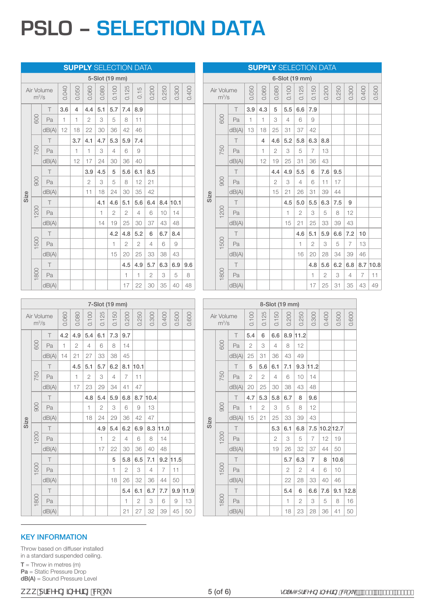# **PSLO – SELECTION DATA**

|      |                                 |            |       |       | <b>SUPPLY SELECTION DATA</b> |                |                |                |      |       |       |          |       |      |                                 |       |              |              |       |       | <b>SUPPLY SELECTION DATA</b> |                |                |       |                |                |
|------|---------------------------------|------------|-------|-------|------------------------------|----------------|----------------|----------------|------|-------|-------|----------|-------|------|---------------------------------|-------|--------------|--------------|-------|-------|------------------------------|----------------|----------------|-------|----------------|----------------|
|      |                                 |            |       |       |                              |                | 5-Slot (19 mm) |                |      |       |       |          |       |      |                                 |       |              |              |       |       | 6-Slot (19 mm)               |                |                |       |                |                |
|      | $m^3/s$                         | Air Volume | 0.040 | 0.050 | 0.060                        | 0.080          | 0.100          | 0.125          | 0.15 | 0.200 | 0.250 | 0.300    | 0.400 |      | Air Volume<br>$m^3/s$           |       | 0.050        | 0.060        | 0.080 | 0.100 | 25<br>$\overline{C}$         | 0.150          | 0.200          | 0.250 | 0.300          | 0.400          |
|      |                                 | T          | 3.6   | 4     | 4.4                          | 5.1            | 5.7            | 7.4            | 8.9  |       |       |          |       |      |                                 | T     | 3.9          | 4.3          | 5     | 5.5   | 6.6                          | 7.9            |                |       |                |                |
|      | 600                             | Pa         |       | 1     | 2                            | 3              | 5              | 8              | 11   |       |       |          |       |      | 600                             | Pa    | $\mathbf{1}$ | $\mathbf{1}$ | 3     | 4     | 6                            | 9              |                |       |                |                |
|      |                                 | dB(A)      | 12    | 18    | 22                           | 30             | 36             | 42             | 46   |       |       |          |       |      |                                 | dB(A) | 13           | 18           | 25    | 31    | 37                           | 42             |                |       |                |                |
|      |                                 | T          |       | 3.7   | 4.1                          | 4.7            | 5.3            | 5.9            | 7.4  |       |       |          |       |      |                                 |       |              | 4            | 4.6   | 5.2   | 5.8                          | 6.3            | 8.8            |       |                |                |
|      | 750                             | Pa         |       | 1     | 1                            | 3              | 4              | 6              | 9    |       |       |          |       |      | 750                             | Pa    |              | $\mathbf{1}$ | 2     | 3     | 5                            | $\overline{7}$ | 13             |       |                |                |
|      |                                 | dB(A)      |       | 12    | 17                           | 24             | 30             | 36             | 40   |       |       |          |       |      |                                 | dB(A) |              | 12           | 19    | 25    | 31                           | 36             | 43             |       |                |                |
|      |                                 | Τ          |       |       | 3.9                          | 4.5            | 5              | 5.6            | 6.1  | 8.5   |       |          |       |      |                                 |       |              |              | 4.4   | 4.9   | 5.5                          | 6              | 7.6            | 9.5   |                |                |
|      | 900                             | Pa         |       |       | 2                            | 3              | 5              | 8              | 12   | 21    |       |          |       |      | 900                             | Pa    |              |              | 2     | 3     | 4                            | 6              | 11             | 17    |                |                |
| Size |                                 | dB(A)      |       |       | 11                           | 18             | 24             | 30             | 35   | 42    |       |          |       | Size |                                 | dB(A) |              |              | 15    | 21    | 26                           | 31             | 39             | 44    |                |                |
|      |                                 | T          |       |       |                              | 4.1            | 4.6            | 5.1            | 5.6  | 6.4   |       | 8.4 10.1 |       |      |                                 |       |              |              |       | 4.5   | 5.0                          | 5.5            | 6.3            | 7.5   | 9              |                |
|      | 200                             | Pa         |       |       |                              | $\overline{1}$ | 2              | $\overline{2}$ | 4    | 6     | 10    | 14       |       |      | 200<br>$\overline{\phantom{0}}$ | Pa    |              |              |       | 1     | 2                            | 3              | 5              | 8     | 12             |                |
|      |                                 | dB(A)      |       |       |                              | 14             | 19             | 25             | 30   | 37    | 43    | 48       |       |      |                                 | dB(A) |              |              |       | 15    | 21                           | 25             | 33             | 39    | 43             |                |
|      |                                 | Τ          |       |       |                              |                | 4.2            | 4.8            | 5.2  | 6     | 6.7   | 8.4      |       |      |                                 |       |              |              |       |       | 4.6                          | 5.1            | 5.9            | 6.6   | 7.2            | 10             |
|      | 500<br>$\overline{\phantom{0}}$ | Pa         |       |       |                              |                | 1              | $\overline{2}$ | 2    | 4     | 6     | 9        |       |      | 500                             | Pa    |              |              |       |       |                              | $\overline{2}$ | 3              | 5     | $\overline{7}$ | 13             |
|      |                                 | dB(A)      |       |       |                              |                | 15             | 20             | 25   | 33    | 38    | 43       |       |      |                                 | dB(A) |              |              |       |       | 16                           | 20             | 28             | 34    | 39             | 46             |
|      |                                 | T          |       |       |                              |                |                | 4.5            | 4.9  | 5.7   | 6.3   | 6.9      | 9.6   |      |                                 |       |              |              |       |       |                              | 4.8            | 5.6            | 6.2   | 6.8            | 8.7            |
|      | 800<br>$\overline{\phantom{0}}$ | Pa         |       |       |                              |                |                | 1              |      | 2     | 3     | 5        | 8     |      | 800                             | Pa    |              |              |       |       |                              |                | $\overline{2}$ | 3     | 4              | $\overline{7}$ |
|      |                                 | dB(A)      |       |       |                              |                |                | 17             | 22   | 30    | 35    | 40       | 48    |      |                                 | dB(A) |              |              |       |       |                              | 17             | 25             | 31    | 35             | 43             |

| $\top$   |       |                |                |                |                | 4.5            | 4.9            | 5.7      | 6.3            | 6.9        | 9.6        |      |                       | $\top$ |              |                |                |                |                | 4.8            | 5.6          | 6.2           | 6.8            |                | $8.7$ 10.8 |
|----------|-------|----------------|----------------|----------------|----------------|----------------|----------------|----------|----------------|------------|------------|------|-----------------------|--------|--------------|----------------|----------------|----------------|----------------|----------------|--------------|---------------|----------------|----------------|------------|
| Pa       |       |                |                |                |                | 1              | 1              | 2        | 3              | 5          | 8          |      | 800                   | Pa     |              |                |                |                |                | 1              | $\mathbf{2}$ | 3             | $\overline{4}$ | $\overline{7}$ | 11         |
| dB(A)    |       |                |                |                |                | 17             | 22             | 30       | 35             | 40         | 48         |      |                       | dB(A)  |              |                |                |                |                | 17             | 25           | 31            | 35             | 43             | 49         |
|          |       |                |                |                |                |                |                |          |                |            |            |      |                       |        |              |                |                |                |                |                |              |               |                |                |            |
|          |       |                |                | 7-Slot (19 mm) |                |                |                |          |                |            |            |      |                       |        |              |                | 8-Slot (19 mm) |                |                |                |              |               |                |                |            |
| ume<br>S | 0.060 | 0.080          | 0.100          | 0.125          | 0.150          | 0.200          | 0.250          | 0.300    | 0.400          | 0.500      | 0.600      |      | Air Volume<br>$m^3/s$ |        | 0.100        | 0.125          | 0.150          | 0.200          | 0.250          | 0.300          | 0.400        | 0.500         | 0.600          |                |            |
| $\top$   | 4.2   | 4.9            | 5.4            | 6.1            | 7.3            | 9.7            |                |          |                |            |            |      |                       | Τ      | 5.4          | 6              | 6.6            |                | 8.9 11.2       |                |              |               |                |                |            |
| Pa       | 1     | $\overline{2}$ | $\overline{4}$ | 6              | 8              | 14             |                |          |                |            |            |      | 600                   | Pa     | $\mathbf{2}$ | 3              | 4              | 8              | 12             |                |              |               |                |                |            |
| dB(A)    | 14    | 21             | 27             | 33             | 38             | 45             |                |          |                |            |            |      |                       | dB(A)  | 25           | 31             | 36             | 43             | 49             |                |              |               |                |                |            |
| $\top$   |       | 4.5            | 5.1            | 5.7            | 6.2            |                | $8.1$ 10.1     |          |                |            |            |      |                       | $\top$ | 5            | 5.6            | 6.1            | 7.1            |                | $9.3$ 11.2     |              |               |                |                |            |
| Pa       |       | 1              | $\overline{2}$ | 3              | $\overline{4}$ | $\overline{7}$ | 11             |          |                |            |            |      | 750                   | Pa     | $\mathbf{2}$ | 2              | 4              | 6              | 10             | 14             |              |               |                |                |            |
| dB(A)    |       | 17             | 23             | 29             | 34             | 41             | 47             |          |                |            |            |      |                       | dB(A)  | 20           | 25             | 30             | 38             | 43             | 48             |              |               |                |                |            |
| $\top$   |       |                | 4.8            | 5.4            | 5.9            | 6.8            |                | 8.7 10.4 |                |            |            |      |                       | $\top$ | 4.7          | 5.3            | 5.8            | 6.7            | 8              | 9.6            |              |               |                |                |            |
| Pa       |       |                | $\overline{1}$ | 2              | 3              | 6              | 9              | 13       |                |            |            |      | 900                   | Pa     | 1            | $\overline{2}$ | 3              | 5              | 8              | 12             |              |               |                |                |            |
| dB(A)    |       |                | 18             | 24             | 29             | 36             | 42             | 47       |                |            |            |      |                       | dB(A)  | 15           | 21             | 25             | 33             | 39             | 43             |              |               |                |                |            |
| $\top$   |       |                |                | 4.9            | 5.4            | 6.2            | 6.9            |          | 8.3 11.0       |            |            | Size |                       | T      |              |                | 5.3            | 6.1            | 6.8            |                |              | 7.5 10.2 12.7 |                |                |            |
| Pa       |       |                |                | 1              | $\mathbf{2}$   | $\overline{4}$ | 6              | 8        | 14             |            |            |      | 200                   | Pa     |              |                | $\overline{c}$ | 3              | 5              | 7              | 12           | 19            |                |                |            |
| dB(A)    |       |                |                | 17             | 22             | 30             | 36             | 40       | 48             |            |            |      |                       | dB(A)  |              |                | 19             | 26             | 32             | 37             | 44           | 50            |                |                |            |
| $\top$   |       |                |                |                | 5              | 5.8            | 6.5            | 7.1      |                | $9.2$ 11.5 |            |      |                       | $\top$ |              |                |                | 5.7            | 6.3            | $\overline{7}$ | 8            | 10.6          |                |                |            |
| Pa       |       |                |                |                | 1              | $\overline{2}$ | 3              | 4        | $\overline{7}$ | 11         |            |      | 500                   | Pa     |              |                |                | $\overline{2}$ | $\overline{2}$ | 4              | 6            | 10            |                |                |            |
| dB(A)    |       |                |                |                | 18             | 26             | 32             | 36       | 44             | 50         |            |      |                       | dB(A)  |              |                |                | 22             | 28             | 33             | 40           | 46            |                |                |            |
| $\top$   |       |                |                |                |                | 5.4            | 6.1            | 6.7      | 7.7            |            | $9.9$ 11.9 |      |                       | $\top$ |              |                |                | 5.4            | 6              | 6.6            | 7.6          |               | $9.1$ 12.8     |                |            |
| Pa       |       |                |                |                |                | 1              | $\overline{2}$ | 3        | 6              | 9          | 13         |      | 800                   | Pa     |              |                |                | 1              | $\overline{2}$ | 3              | 5            | 8             | 16             |                |            |
| dB(A)    |       |                |                |                |                | 21             | 27             | 32       | 39             | 45         | 50         |      |                       | dB(A)  |              |                |                | 18             | 23             | 28             | 36           | 41            | 50             |                |            |

### KEY INFORMATION

Air Volume m<sup>3</sup> /s

600

750

900

1200

1500

1800

Size

Throw based on diffuser installed in a standard suspended ceiling.  $T = Throw$  in metres (m) Pa = Static Pressure Drop dB(A) = Sound Pressure Level

0.250 0.300 0.400 0.500